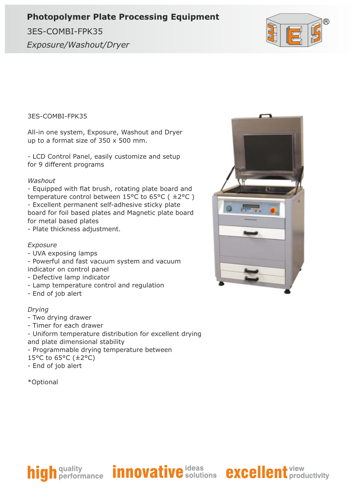## **Photopolymer Plate Processing Equipment**

*Exposure/Washout/Dryer* 3ES-COMBI-FPK35



3ES-COMBI-FPK35

All-in one system, Exposure, Washout and Dryer up to a format size of 350 x 500 mm.

- LCD Control Panel, easily customize and setup for 9 different programs

#### *Washout*

- Equipped with flat brush, rotating plate board and temperature control between 15°C to 65°C ( ±2°C ) - Excellent permanent self-adhesive sticky plate board for foil based plates and Magnetic plate board for metal based plates

- Plate thickness adjustment.

#### *Exposure*

- UVA exposing lamps
- Powerful and fast vacuum system and vacuum indicator on control panel
- Defective lamp indicator
- Lamp temperature control and regulation
- End of job alert

#### *Drying*

- Two drying drawer
- Timer for each drawer
- Uniform temperature distribution for excellent drying
- and plate dimensional stability
- Programmable drying temperature between
- 15°C to 65°C (±2°C)
- End of job alert

```
*Optional
```